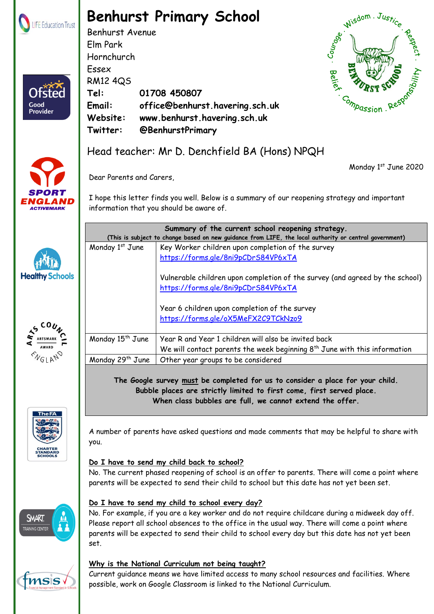

Ofster

Good **Provider** 

## **Benhurst Primary School**

Benhurst Avenue Elm Park Hornchurch Essex RM12 4QS **Tel: 01708 450807 Email: office@benhurst.havering.sch.uk Website: www.benhurst.havering.sch.uk Twitter: @BenhurstPrimary**



Monday 1st June 2020



### Head teacher: Mr D. Denchfield BA (Hons) NPQH

Monday  $1^{st}$  June  $\left|$  Key Worker children upon completion of the survey

Monday  $15^{th}$  June  $\parallel$  Year R and Year 1 children will also be invited back

Monday 29<sup>th</sup> June  $\vert$  Other year groups to be considered

<https://forms.gle/8ni9pCDrS84VP6xTA>

<https://forms.gle/8ni9pCDrS84VP6xTA>

Year 6 children upon completion of the survey <https://forms.gle/oX5MeFX2C9TCkNzo9>

Dear Parents and Carers,

I hope this letter finds you well. Below is a summary of our reopening strategy and important information that you should be aware of.

**Summary of the current school reopening strategy. (This is subject to change based on new guidance from LIFE, the local authority or central government)**

Vulnerable children upon completion of the survey (and agreed by the school)

We will contact parents the week beginning  $8<sup>th</sup>$  June with this information







A number of parents have asked questions and made comments that may be helpful to share with you.

**The Google survey must be completed for us to consider a place for your child. Bubble places are strictly limited to first come, first served place. When class bubbles are full, we cannot extend the offer.**

#### **Do I have to send my child back to school?**

No. The current phased reopening of school is an offer to parents. There will come a point where parents will be expected to send their child to school but this date has not yet been set.



**MSS** 



No. For example, if you are a key worker and do not require childcare during a midweek day off. Please report all school absences to the office in the usual way. There will come a point where parents will be expected to send their child to school every day but this date has not yet been set.

#### **Why is the National Curriculum not being taught?**

 Benhurst Primary School part of LIFE Education Trust. Registered in England & Wales. Company Number: 08102628 Current guidance means we have limited access to many school resources and facilities. Where possible, work on Google Classroom is linked to the National Curriculum.